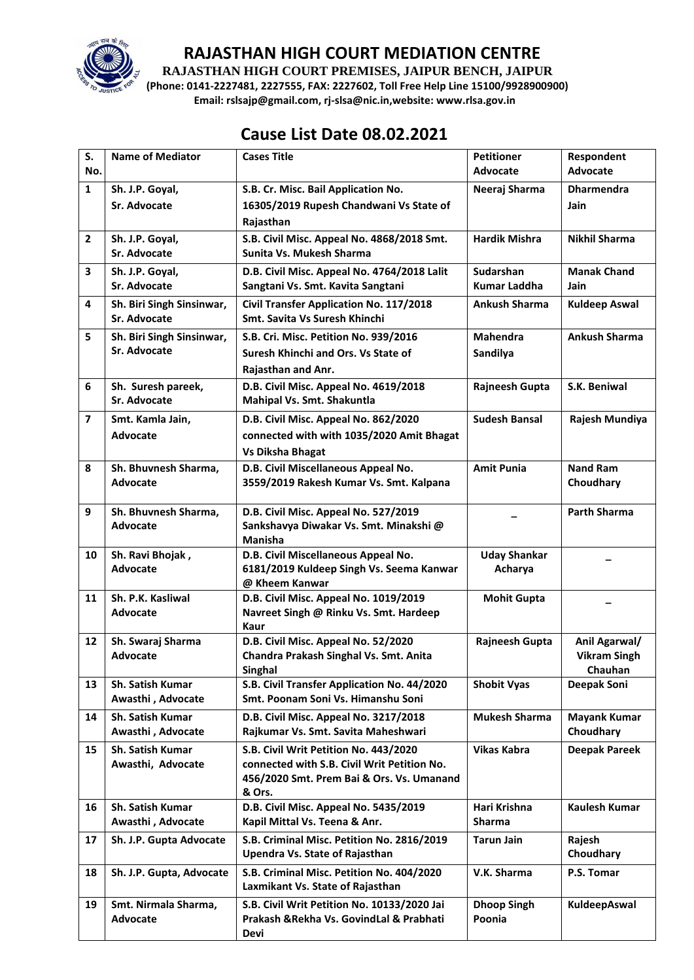

**RAJASTHAN HIGH COURT PREMISES, JAIPUR BENCH, JAIPUR**

**(Phone: 0141-2227481, 2227555, FAX: 2227602, Toll Free Help Line 15100/9928900900) Email: rslsajp@gmail.com, rj-slsa@nic.in,website: www.rlsa.gov.in**

# **Cause List Date 08.02.2021**

| S.                      | <b>Name of Mediator</b>       | <b>Cases Title</b>                                | <b>Petitioner</b>    | Respondent                     |
|-------------------------|-------------------------------|---------------------------------------------------|----------------------|--------------------------------|
| No.                     |                               |                                                   | <b>Advocate</b>      | <b>Advocate</b>                |
| $\mathbf{1}$            | Sh. J.P. Goyal,               | S.B. Cr. Misc. Bail Application No.               | Neeraj Sharma        | <b>Dharmendra</b>              |
|                         | Sr. Advocate                  | 16305/2019 Rupesh Chandwani Vs State of           |                      | <b>Jain</b>                    |
|                         |                               | Rajasthan                                         |                      |                                |
| $\overline{2}$          | Sh. J.P. Goyal,               | S.B. Civil Misc. Appeal No. 4868/2018 Smt.        | <b>Hardik Mishra</b> | <b>Nikhil Sharma</b>           |
|                         | Sr. Advocate                  | Sunita Vs. Mukesh Sharma                          |                      |                                |
| 3                       | Sh. J.P. Goyal,               | D.B. Civil Misc. Appeal No. 4764/2018 Lalit       | Sudarshan            | <b>Manak Chand</b>             |
|                         | Sr. Advocate                  | Sangtani Vs. Smt. Kavita Sangtani                 | <b>Kumar Laddha</b>  | Jain                           |
| $\overline{\mathbf{4}}$ | Sh. Biri Singh Sinsinwar,     | Civil Transfer Application No. 117/2018           | <b>Ankush Sharma</b> | <b>Kuldeep Aswal</b>           |
|                         | Sr. Advocate                  | Smt. Savita Vs Suresh Khinchi                     |                      |                                |
| 5                       | Sh. Biri Singh Sinsinwar,     | S.B. Cri. Misc. Petition No. 939/2016             | <b>Mahendra</b>      | <b>Ankush Sharma</b>           |
|                         | Sr. Advocate                  | Suresh Khinchi and Ors. Vs State of               | Sandilya             |                                |
|                         |                               | Rajasthan and Anr.                                |                      |                                |
| 6                       | Sh. Suresh pareek,            | D.B. Civil Misc. Appeal No. 4619/2018             | Rajneesh Gupta       | S.K. Beniwal                   |
|                         | Sr. Advocate                  | Mahipal Vs. Smt. Shakuntla                        |                      |                                |
| $\overline{\mathbf{z}}$ | Smt. Kamla Jain,              | D.B. Civil Misc. Appeal No. 862/2020              | <b>Sudesh Bansal</b> | Rajesh Mundiya                 |
|                         | Advocate                      | connected with with 1035/2020 Amit Bhagat         |                      |                                |
|                         |                               | <b>Vs Diksha Bhagat</b>                           |                      |                                |
| 8                       | Sh. Bhuvnesh Sharma,          | D.B. Civil Miscellaneous Appeal No.               | <b>Amit Punia</b>    | <b>Nand Ram</b>                |
|                         | Advocate                      | 3559/2019 Rakesh Kumar Vs. Smt. Kalpana           |                      | Choudhary                      |
|                         |                               |                                                   |                      |                                |
| 9                       | Sh. Bhuvnesh Sharma,          | D.B. Civil Misc. Appeal No. 527/2019              |                      | <b>Parth Sharma</b>            |
|                         | <b>Advocate</b>               | Sankshavya Diwakar Vs. Smt. Minakshi @<br>Manisha |                      |                                |
| 10                      | Sh. Ravi Bhojak,              | D.B. Civil Miscellaneous Appeal No.               | <b>Uday Shankar</b>  |                                |
|                         | <b>Advocate</b>               | 6181/2019 Kuldeep Singh Vs. Seema Kanwar          | Acharya              |                                |
|                         |                               | @ Kheem Kanwar                                    |                      |                                |
| 11                      | Sh. P.K. Kasliwal             | D.B. Civil Misc. Appeal No. 1019/2019             | <b>Mohit Gupta</b>   |                                |
|                         | Advocate                      | Navreet Singh @ Rinku Vs. Smt. Hardeep            |                      |                                |
|                         |                               | Kaur                                              |                      |                                |
| 12                      | Sh. Swaraj Sharma<br>Advocate | D.B. Civil Misc. Appeal No. 52/2020               | Rajneesh Gupta       | Anil Agarwal/                  |
|                         |                               | Chandra Prakash Singhal Vs. Smt. Anita<br>Singhal |                      | <b>Vikram Singh</b><br>Chauhan |
| 13                      | Sh. Satish Kumar              | S.B. Civil Transfer Application No. 44/2020       | <b>Shobit Vyas</b>   | Deepak Soni                    |
|                         | Awasthi, Advocate             | Smt. Poonam Soni Vs. Himanshu Soni                |                      |                                |
| 14                      | Sh. Satish Kumar              | D.B. Civil Misc. Appeal No. 3217/2018             | <b>Mukesh Sharma</b> | <b>Mayank Kumar</b>            |
|                         | Awasthi, Advocate             | Rajkumar Vs. Smt. Savita Maheshwari               |                      | Choudhary                      |
| 15                      | Sh. Satish Kumar              | S.B. Civil Writ Petition No. 443/2020             | <b>Vikas Kabra</b>   | <b>Deepak Pareek</b>           |
|                         | Awasthi, Advocate             | connected with S.B. Civil Writ Petition No.       |                      |                                |
|                         |                               | 456/2020 Smt. Prem Bai & Ors. Vs. Umanand         |                      |                                |
|                         |                               | & Ors.                                            |                      |                                |
| 16                      | <b>Sh. Satish Kumar</b>       | D.B. Civil Misc. Appeal No. 5435/2019             | Hari Krishna         | <b>Kaulesh Kumar</b>           |
|                         | Awasthi, Advocate             | Kapil Mittal Vs. Teena & Anr.                     | <b>Sharma</b>        |                                |
| 17                      | Sh. J.P. Gupta Advocate       | S.B. Criminal Misc. Petition No. 2816/2019        | <b>Tarun Jain</b>    | Rajesh                         |
|                         |                               | Upendra Vs. State of Rajasthan                    |                      | Choudhary                      |
| 18                      |                               | S.B. Criminal Misc. Petition No. 404/2020         | V.K. Sharma          | P.S. Tomar                     |
|                         | Sh. J.P. Gupta, Advocate      |                                                   |                      |                                |
|                         |                               | Laxmikant Vs. State of Rajasthan                  |                      |                                |
| 19                      | Smt. Nirmala Sharma,          | S.B. Civil Writ Petition No. 10133/2020 Jai       | <b>Dhoop Singh</b>   | KuldeepAswal                   |
|                         | <b>Advocate</b>               | Prakash & Rekha Vs. GovindLal & Prabhati<br>Devi  | Poonia               |                                |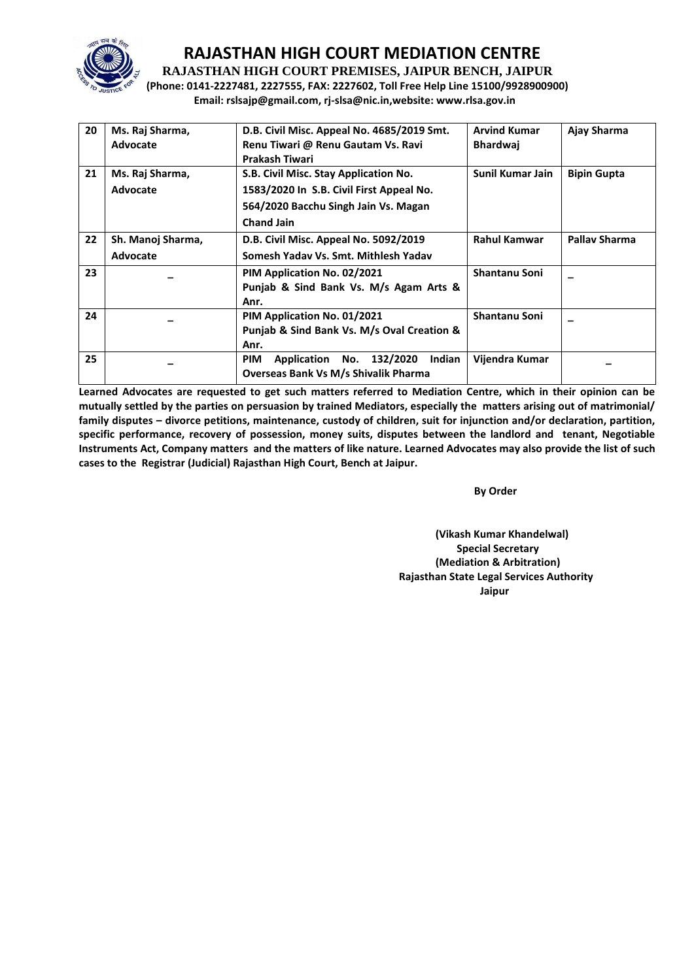

**RAJASTHAN HIGH COURT PREMISES, JAIPUR BENCH, JAIPUR**

**(Phone: 0141-2227481, 2227555, FAX: 2227602, Toll Free Help Line 15100/9928900900) Email: rslsajp@gmail.com, rj-slsa@nic.in,website: www.rlsa.gov.in**

| 20 | Ms. Raj Sharma,   | D.B. Civil Misc. Appeal No. 4685/2019 Smt.       | <b>Arvind Kumar</b>  | Ajay Sharma          |
|----|-------------------|--------------------------------------------------|----------------------|----------------------|
|    | Advocate          | Renu Tiwari @ Renu Gautam Vs. Ravi               | <b>Bhardwaj</b>      |                      |
|    |                   | <b>Prakash Tiwari</b>                            |                      |                      |
| 21 | Ms. Raj Sharma,   | S.B. Civil Misc. Stay Application No.            | Sunil Kumar Jain     | <b>Bipin Gupta</b>   |
|    | Advocate          | 1583/2020 In S.B. Civil First Appeal No.         |                      |                      |
|    |                   | 564/2020 Bacchu Singh Jain Vs. Magan             |                      |                      |
|    |                   | <b>Chand Jain</b>                                |                      |                      |
| 22 | Sh. Manoj Sharma, | D.B. Civil Misc. Appeal No. 5092/2019            | <b>Rahul Kamwar</b>  | <b>Pallay Sharma</b> |
|    | Advocate          | Somesh Yaday Vs. Smt. Mithlesh Yaday             |                      |                      |
| 23 |                   | PIM Application No. 02/2021                      | Shantanu Soni        |                      |
|    |                   | Punjab & Sind Bank Vs. M/s Agam Arts &           |                      |                      |
|    |                   | Anr.                                             |                      |                      |
| 24 |                   | PIM Application No. 01/2021                      | <b>Shantanu Soni</b> |                      |
|    |                   | Punjab & Sind Bank Vs. M/s Oval Creation &       |                      |                      |
|    |                   | Anr.                                             |                      |                      |
| 25 |                   | Application No. 132/2020<br>Indian<br><b>PIM</b> | Vijendra Kumar       |                      |
|    |                   | <b>Overseas Bank Vs M/s Shivalik Pharma</b>      |                      |                      |

**Learned Advocates are requested to get such matters referred to Mediation Centre, which in their opinion can be mutually settled by the parties on persuasion by trained Mediators, especially the matters arising out of matrimonial/ family disputes – divorce petitions, maintenance, custody of children, suit for injunction and/or declaration, partition, specific performance, recovery of possession, money suits, disputes between the landlord and tenant, Negotiable Instruments Act, Company matters and the matters of like nature. Learned Advocates may also provide the list of such cases to the Registrar (Judicial) Rajasthan High Court, Bench at Jaipur.** 

 **By Order**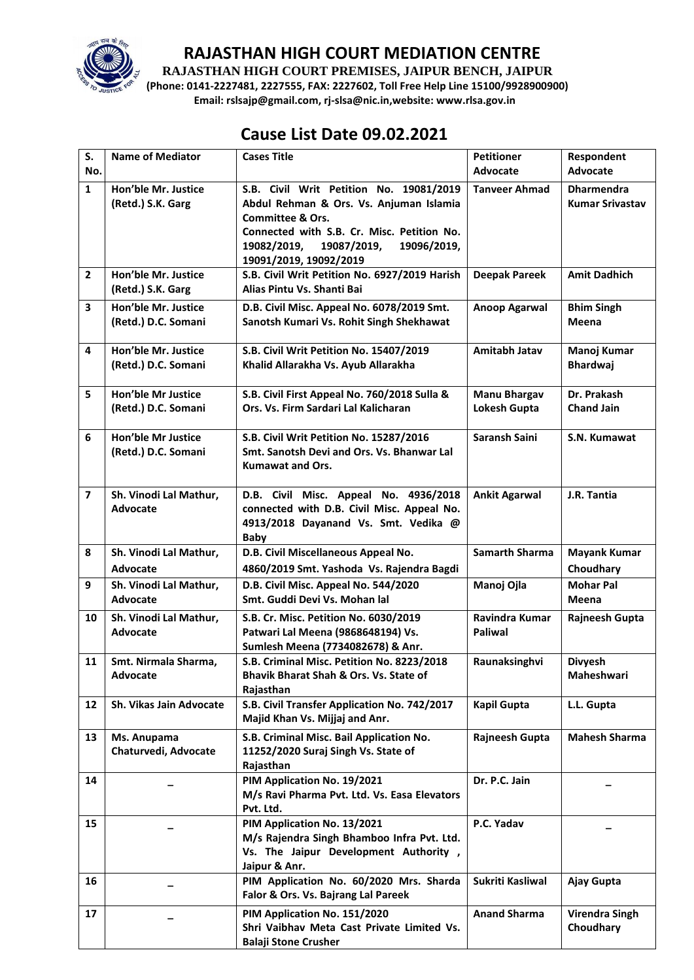

**RAJASTHAN HIGH COURT PREMISES, JAIPUR BENCH, JAIPUR**

**(Phone: 0141-2227481, 2227555, FAX: 2227602, Toll Free Help Line 15100/9928900900) Email: rslsajp@gmail.com, rj-slsa@nic.in,website: www.rlsa.gov.in**

## **Cause List Date 09.02.2021**

| S.                      | <b>Name of Mediator</b>                          | <b>Cases Title</b>                                                                                                                                                                                                                     | <b>Petitioner</b>                          | Respondent                                  |
|-------------------------|--------------------------------------------------|----------------------------------------------------------------------------------------------------------------------------------------------------------------------------------------------------------------------------------------|--------------------------------------------|---------------------------------------------|
| No.                     |                                                  |                                                                                                                                                                                                                                        | Advocate                                   | <b>Advocate</b>                             |
| $\mathbf{1}$            | Hon'ble Mr. Justice<br>(Retd.) S.K. Garg         | S.B. Civil Writ Petition No. 19081/2019<br>Abdul Rehman & Ors. Vs. Anjuman Islamia<br><b>Committee &amp; Ors.</b><br>Connected with S.B. Cr. Misc. Petition No.<br>19082/2019,<br>19087/2019,<br>19096/2019,<br>19091/2019, 19092/2019 | <b>Tanveer Ahmad</b>                       | <b>Dharmendra</b><br><b>Kumar Srivastav</b> |
| $\overline{2}$          | Hon'ble Mr. Justice<br>(Retd.) S.K. Garg         | S.B. Civil Writ Petition No. 6927/2019 Harish<br>Alias Pintu Vs. Shanti Bai                                                                                                                                                            | <b>Deepak Pareek</b>                       | <b>Amit Dadhich</b>                         |
| 3                       | Hon'ble Mr. Justice<br>(Retd.) D.C. Somani       | D.B. Civil Misc. Appeal No. 6078/2019 Smt.<br>Sanotsh Kumari Vs. Rohit Singh Shekhawat                                                                                                                                                 | <b>Anoop Agarwal</b>                       | <b>Bhim Singh</b><br>Meena                  |
| 4                       | Hon'ble Mr. Justice<br>(Retd.) D.C. Somani       | S.B. Civil Writ Petition No. 15407/2019<br>Khalid Allarakha Vs. Ayub Allarakha                                                                                                                                                         | <b>Amitabh Jatav</b>                       | Manoj Kumar<br><b>Bhardwaj</b>              |
| 5                       | <b>Hon'ble Mr Justice</b><br>(Retd.) D.C. Somani | S.B. Civil First Appeal No. 760/2018 Sulla &<br>Ors. Vs. Firm Sardari Lal Kalicharan                                                                                                                                                   | <b>Manu Bhargav</b><br><b>Lokesh Gupta</b> | Dr. Prakash<br><b>Chand Jain</b>            |
| 6                       | <b>Hon'ble Mr Justice</b><br>(Retd.) D.C. Somani | S.B. Civil Writ Petition No. 15287/2016<br>Smt. Sanotsh Devi and Ors. Vs. Bhanwar Lal<br><b>Kumawat and Ors.</b>                                                                                                                       | Saransh Saini                              | S.N. Kumawat                                |
| $\overline{\mathbf{z}}$ | Sh. Vinodi Lal Mathur,<br><b>Advocate</b>        | D.B. Civil Misc. Appeal No. 4936/2018<br>connected with D.B. Civil Misc. Appeal No.<br>4913/2018 Dayanand Vs. Smt. Vedika @<br>Baby                                                                                                    | <b>Ankit Agarwal</b>                       | J.R. Tantia                                 |
| 8                       | Sh. Vinodi Lal Mathur,<br>Advocate               | D.B. Civil Miscellaneous Appeal No.<br>4860/2019 Smt. Yashoda Vs. Rajendra Bagdi                                                                                                                                                       | Samarth Sharma                             | <b>Mayank Kumar</b><br>Choudhary            |
| 9                       | Sh. Vinodi Lal Mathur,<br><b>Advocate</b>        | D.B. Civil Misc. Appeal No. 544/2020<br>Smt. Guddi Devi Vs. Mohan lal                                                                                                                                                                  | Manoj Ojla                                 | <b>Mohar Pal</b><br>Meena                   |
| 10                      | Sh. Vinodi Lal Mathur,<br><b>Advocate</b>        | S.B. Cr. Misc. Petition No. 6030/2019<br>Patwari Lal Meena (9868648194) Vs.<br>Sumlesh Meena (7734082678) & Anr.                                                                                                                       | Ravindra Kumar<br><b>Paliwal</b>           | Rajneesh Gupta                              |
| 11                      | Smt. Nirmala Sharma,<br><b>Advocate</b>          | S.B. Criminal Misc. Petition No. 8223/2018<br>Bhavik Bharat Shah & Ors. Vs. State of<br>Rajasthan                                                                                                                                      | Raunaksinghvi                              | <b>Divyesh</b><br>Maheshwari                |
| 12                      | Sh. Vikas Jain Advocate                          | S.B. Civil Transfer Application No. 742/2017<br>Majid Khan Vs. Mijjaj and Anr.                                                                                                                                                         | <b>Kapil Gupta</b>                         | L.L. Gupta                                  |
| 13                      | Ms. Anupama<br>Chaturvedi, Advocate              | S.B. Criminal Misc. Bail Application No.<br>11252/2020 Suraj Singh Vs. State of<br>Rajasthan                                                                                                                                           | Rajneesh Gupta                             | <b>Mahesh Sharma</b>                        |
| 14                      |                                                  | PIM Application No. 19/2021<br>M/s Ravi Pharma Pvt. Ltd. Vs. Easa Elevators<br>Pvt. Ltd.                                                                                                                                               | Dr. P.C. Jain                              |                                             |
| 15                      |                                                  | PIM Application No. 13/2021<br>M/s Rajendra Singh Bhamboo Infra Pvt. Ltd.<br>Vs. The Jaipur Development Authority,<br>Jaipur & Anr.                                                                                                    | P.C. Yadav                                 |                                             |
| 16                      |                                                  | PIM Application No. 60/2020 Mrs. Sharda<br>Falor & Ors. Vs. Bajrang Lal Pareek                                                                                                                                                         | Sukriti Kasliwal                           | Ajay Gupta                                  |
| 17                      |                                                  | PIM Application No. 151/2020<br>Shri Vaibhav Meta Cast Private Limited Vs.<br><b>Balaji Stone Crusher</b>                                                                                                                              | <b>Anand Sharma</b>                        | <b>Virendra Singh</b><br>Choudhary          |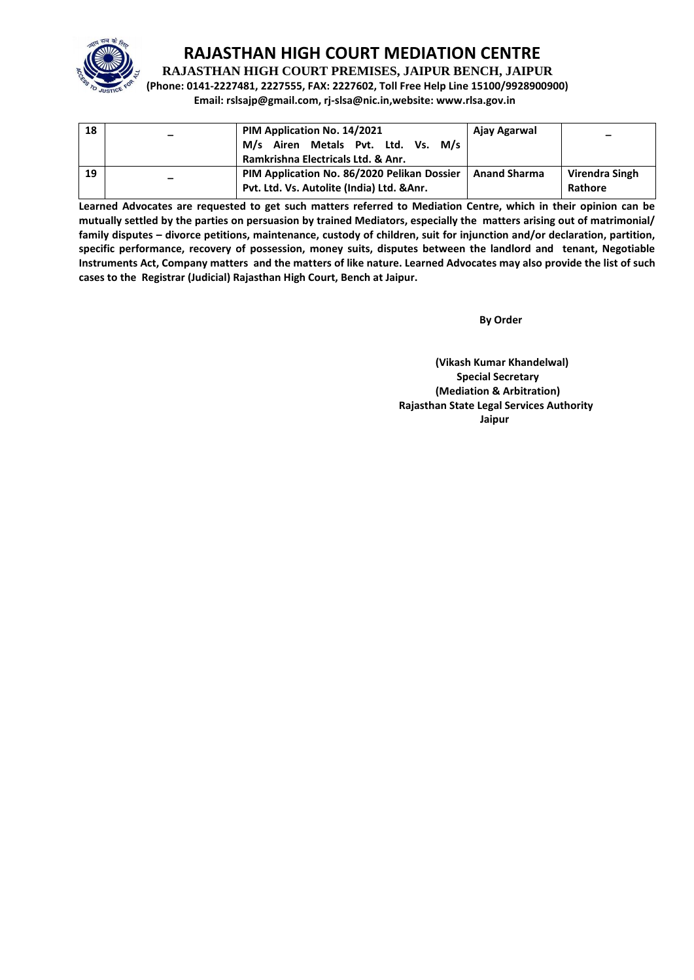

**RAJASTHAN HIGH COURT PREMISES, JAIPUR BENCH, JAIPUR**

**(Phone: 0141-2227481, 2227555, FAX: 2227602, Toll Free Help Line 15100/9928900900) Email: rslsajp@gmail.com, rj-slsa@nic.in,website: www.rlsa.gov.in**

| 18 | $\overline{\phantom{0}}$ | PIM Application No. 14/2021<br>M/s Airen Metals Pvt. Ltd. Vs.<br>M/s<br>Ramkrishna Electricals Ltd. & Anr. | Ajay Agarwal        | $\overline{\phantom{0}}$ |
|----|--------------------------|------------------------------------------------------------------------------------------------------------|---------------------|--------------------------|
| 19 |                          | PIM Application No. 86/2020 Pelikan Dossier                                                                | <b>Anand Sharma</b> | Virendra Singh           |
|    |                          | Pvt. Ltd. Vs. Autolite (India) Ltd. & Anr.                                                                 |                     | Rathore                  |

**Learned Advocates are requested to get such matters referred to Mediation Centre, which in their opinion can be mutually settled by the parties on persuasion by trained Mediators, especially the matters arising out of matrimonial/ family disputes – divorce petitions, maintenance, custody of children, suit for injunction and/or declaration, partition, specific performance, recovery of possession, money suits, disputes between the landlord and tenant, Negotiable Instruments Act, Company matters and the matters of like nature. Learned Advocates may also provide the list of such cases to the Registrar (Judicial) Rajasthan High Court, Bench at Jaipur.** 

**By Order**  $\overline{\phantom{a}}$  **By Order**  $\overline{\phantom{a}}$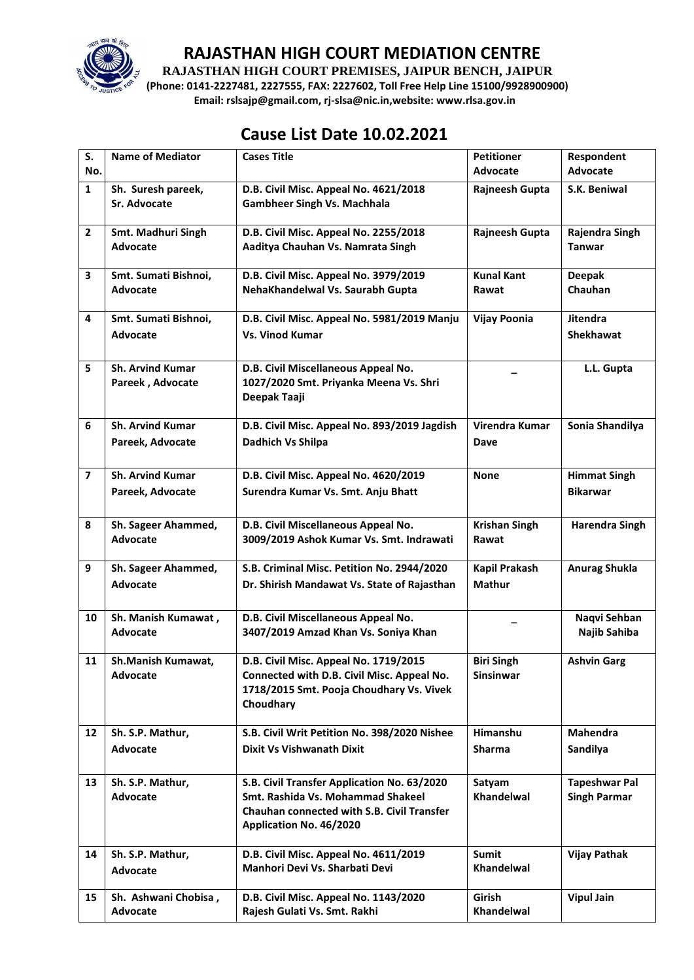

**RAJASTHAN HIGH COURT PREMISES, JAIPUR BENCH, JAIPUR**

**(Phone: 0141-2227481, 2227555, FAX: 2227602, Toll Free Help Line 15100/9928900900) Email: rslsajp@gmail.com, rj-slsa@nic.in,website: www.rlsa.gov.in**

# **Cause List Date 10.02.2021**

| S.<br>No.               | <b>Name of Mediator</b>                     | <b>Cases Title</b>                                                                                                                                        | <b>Petitioner</b><br><b>Advocate</b> | Respondent<br>Advocate                      |
|-------------------------|---------------------------------------------|-----------------------------------------------------------------------------------------------------------------------------------------------------------|--------------------------------------|---------------------------------------------|
| $\mathbf{1}$            | Sh. Suresh pareek,<br><b>Sr. Advocate</b>   | D.B. Civil Misc. Appeal No. 4621/2018<br><b>Gambheer Singh Vs. Machhala</b>                                                                               | Rajneesh Gupta                       | S.K. Beniwal                                |
| $\overline{2}$          | Smt. Madhuri Singh<br><b>Advocate</b>       | D.B. Civil Misc. Appeal No. 2255/2018<br>Aaditya Chauhan Vs. Namrata Singh                                                                                | Rajneesh Gupta                       | Rajendra Singh<br><b>Tanwar</b>             |
| 3                       | Smt. Sumati Bishnoi,<br>Advocate            | D.B. Civil Misc. Appeal No. 3979/2019<br>NehaKhandelwal Vs. Saurabh Gupta                                                                                 | <b>Kunal Kant</b><br>Rawat           | <b>Deepak</b><br>Chauhan                    |
| 4                       | Smt. Sumati Bishnoi,<br><b>Advocate</b>     | D.B. Civil Misc. Appeal No. 5981/2019 Manju<br><b>Vs. Vinod Kumar</b>                                                                                     | <b>Vijay Poonia</b>                  | <b>Jitendra</b><br><b>Shekhawat</b>         |
| 5                       | <b>Sh. Arvind Kumar</b><br>Pareek, Advocate | D.B. Civil Miscellaneous Appeal No.<br>1027/2020 Smt. Priyanka Meena Vs. Shri<br>Deepak Taaji                                                             |                                      | L.L. Gupta                                  |
| 6                       | <b>Sh. Arvind Kumar</b><br>Pareek, Advocate | D.B. Civil Misc. Appeal No. 893/2019 Jagdish<br>Dadhich Vs Shilpa                                                                                         | Virendra Kumar<br>Dave               | Sonia Shandilya                             |
| $\overline{\mathbf{z}}$ | <b>Sh. Arvind Kumar</b><br>Pareek, Advocate | D.B. Civil Misc. Appeal No. 4620/2019<br>Surendra Kumar Vs. Smt. Anju Bhatt                                                                               | <b>None</b>                          | <b>Himmat Singh</b><br><b>Bikarwar</b>      |
| 8                       | Sh. Sageer Ahammed,<br><b>Advocate</b>      | D.B. Civil Miscellaneous Appeal No.<br>3009/2019 Ashok Kumar Vs. Smt. Indrawati                                                                           | <b>Krishan Singh</b><br>Rawat        | <b>Harendra Singh</b>                       |
| 9                       | Sh. Sageer Ahammed,<br>Advocate             | S.B. Criminal Misc. Petition No. 2944/2020<br>Dr. Shirish Mandawat Vs. State of Rajasthan                                                                 | Kapil Prakash<br><b>Mathur</b>       | <b>Anurag Shukla</b>                        |
| 10                      | Sh. Manish Kumawat,<br><b>Advocate</b>      | D.B. Civil Miscellaneous Appeal No.<br>3407/2019 Amzad Khan Vs. Soniya Khan                                                                               |                                      | Naqvi Sehban<br>Najib Sahiba                |
| 11                      | Sh.Manish Kumawat,<br>Advocate              | D.B. Civil Misc. Appeal No. 1719/2015<br>Connected with D.B. Civil Misc. Appeal No.<br>1718/2015 Smt. Pooja Choudhary Vs. Vivek<br>Choudhary              | <b>Biri Singh</b><br>Sinsinwar       | <b>Ashvin Garg</b>                          |
| 12                      | Sh. S.P. Mathur,<br><b>Advocate</b>         | S.B. Civil Writ Petition No. 398/2020 Nishee<br><b>Dixit Vs Vishwanath Dixit</b>                                                                          | <b>Himanshu</b><br><b>Sharma</b>     | Mahendra<br>Sandilya                        |
| 13                      | Sh. S.P. Mathur,<br>Advocate                | S.B. Civil Transfer Application No. 63/2020<br>Smt. Rashida Vs. Mohammad Shakeel<br>Chauhan connected with S.B. Civil Transfer<br>Application No. 46/2020 | Satyam<br>Khandelwal                 | <b>Tapeshwar Pal</b><br><b>Singh Parmar</b> |
| 14                      | Sh. S.P. Mathur,<br><b>Advocate</b>         | D.B. Civil Misc. Appeal No. 4611/2019<br>Manhori Devi Vs. Sharbati Devi                                                                                   | <b>Sumit</b><br>Khandelwal           | <b>Vijay Pathak</b>                         |
| 15                      | Sh. Ashwani Chobisa,<br>Advocate            | D.B. Civil Misc. Appeal No. 1143/2020<br>Rajesh Gulati Vs. Smt. Rakhi                                                                                     | Girish<br>Khandelwal                 | <b>Vipul Jain</b>                           |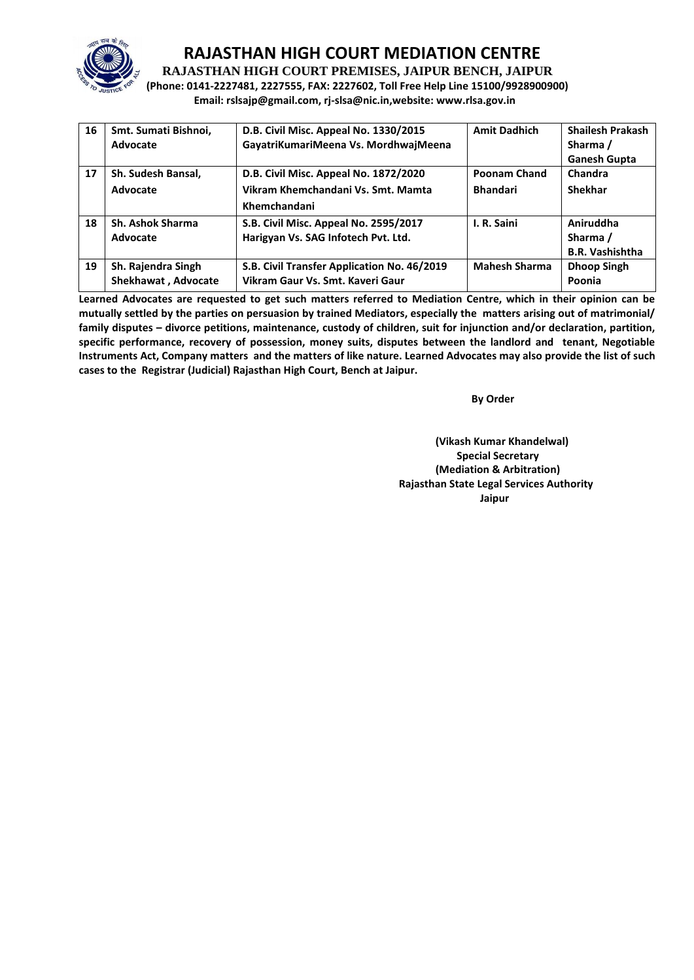

**RAJASTHAN HIGH COURT PREMISES, JAIPUR BENCH, JAIPUR**

**(Phone: 0141-2227481, 2227555, FAX: 2227602, Toll Free Help Line 15100/9928900900) Email: rslsajp@gmail.com, rj-slsa@nic.in,website: www.rlsa.gov.in**

| 16 | Smt. Sumati Bishnoi,<br>Advocate | D.B. Civil Misc. Appeal No. 1330/2015<br>GayatriKumariMeena Vs. MordhwajMeena | <b>Amit Dadhich</b>  | <b>Shailesh Prakash</b><br>Sharma / |
|----|----------------------------------|-------------------------------------------------------------------------------|----------------------|-------------------------------------|
|    |                                  |                                                                               |                      | <b>Ganesh Gupta</b>                 |
| 17 | Sh. Sudesh Bansal,               | D.B. Civil Misc. Appeal No. 1872/2020                                         | <b>Poonam Chand</b>  | Chandra                             |
|    | Advocate                         | Vikram Khemchandani Vs. Smt. Mamta                                            | <b>Bhandari</b>      | Shekhar                             |
|    |                                  | Khemchandani                                                                  |                      |                                     |
| 18 | <b>Sh. Ashok Sharma</b>          | S.B. Civil Misc. Appeal No. 2595/2017                                         | I. R. Saini          | Aniruddha                           |
|    | Advocate                         | Harigyan Vs. SAG Infotech Pvt. Ltd.                                           |                      | Sharma /                            |
|    |                                  |                                                                               |                      | <b>B.R. Vashishtha</b>              |
| 19 | Sh. Rajendra Singh               | S.B. Civil Transfer Application No. 46/2019                                   | <b>Mahesh Sharma</b> | <b>Dhoop Singh</b>                  |
|    | Shekhawat, Advocate              | Vikram Gaur Vs. Smt. Kaveri Gaur                                              |                      | Poonia                              |

**Learned Advocates are requested to get such matters referred to Mediation Centre, which in their opinion can be mutually settled by the parties on persuasion by trained Mediators, especially the matters arising out of matrimonial/ family disputes – divorce petitions, maintenance, custody of children, suit for injunction and/or declaration, partition, specific performance, recovery of possession, money suits, disputes between the landlord and tenant, Negotiable Instruments Act, Company matters and the matters of like nature. Learned Advocates may also provide the list of such cases to the Registrar (Judicial) Rajasthan High Court, Bench at Jaipur.** 

 **By Order**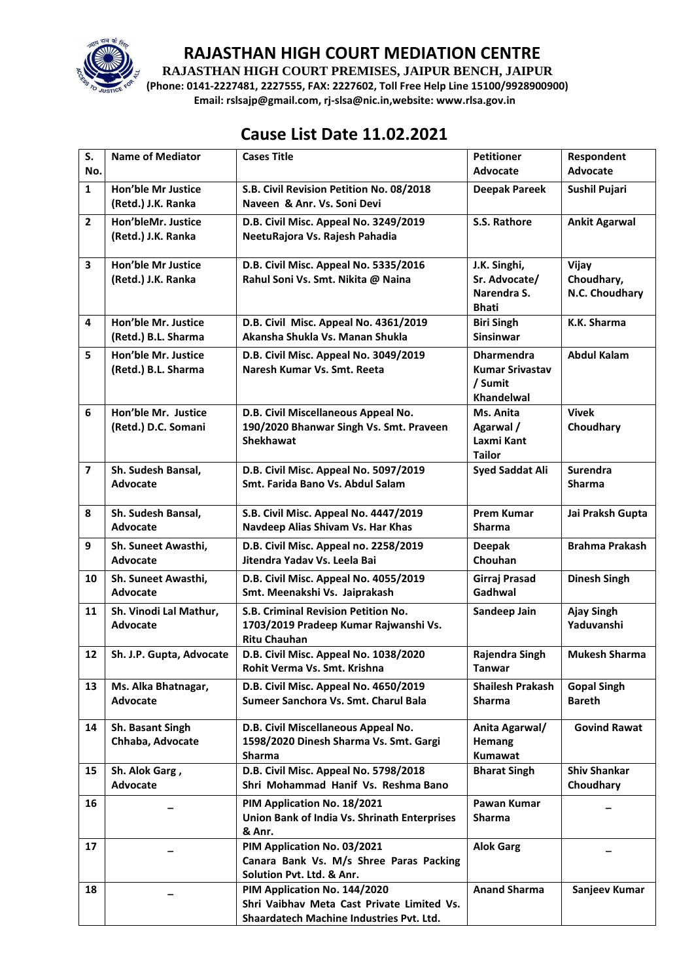

**RAJASTHAN HIGH COURT PREMISES, JAIPUR BENCH, JAIPUR**

**(Phone: 0141-2227481, 2227555, FAX: 2227602, Toll Free Help Line 15100/9928900900) Email: rslsajp@gmail.com, rj-slsa@nic.in,website: www.rlsa.gov.in**

# **Cause List Date 11.02.2021**

| S.<br>No.               | <b>Name of Mediator</b>                         | <b>Cases Title</b>                                                                                                     | <b>Petitioner</b><br>Advocate                                               | Respondent<br>Advocate                |
|-------------------------|-------------------------------------------------|------------------------------------------------------------------------------------------------------------------------|-----------------------------------------------------------------------------|---------------------------------------|
| $\mathbf{1}$            | Hon'ble Mr Justice<br>(Retd.) J.K. Ranka        | S.B. Civil Revision Petition No. 08/2018<br>Naveen & Anr. Vs. Soni Devi                                                | <b>Deepak Pareek</b>                                                        | Sushil Pujari                         |
| $\overline{2}$          | Hon'bleMr. Justice<br>(Retd.) J.K. Ranka        | D.B. Civil Misc. Appeal No. 3249/2019<br>NeetuRajora Vs. Rajesh Pahadia                                                | S.S. Rathore                                                                | <b>Ankit Agarwal</b>                  |
| $\mathbf{3}$            | <b>Hon'ble Mr Justice</b><br>(Retd.) J.K. Ranka | D.B. Civil Misc. Appeal No. 5335/2016<br>Rahul Soni Vs. Smt. Nikita @ Naina                                            | J.K. Singhi,<br>Sr. Advocate/<br>Narendra S.<br><b>Bhati</b>                | Vijay<br>Choudhary,<br>N.C. Choudhary |
| 4                       | Hon'ble Mr. Justice<br>(Retd.) B.L. Sharma      | D.B. Civil Misc. Appeal No. 4361/2019<br>Akansha Shukla Vs. Manan Shukla                                               | <b>Biri Singh</b><br><b>Sinsinwar</b>                                       | K.K. Sharma                           |
| 5                       | Hon'ble Mr. Justice<br>(Retd.) B.L. Sharma      | D.B. Civil Misc. Appeal No. 3049/2019<br>Naresh Kumar Vs. Smt. Reeta                                                   | <b>Dharmendra</b><br><b>Kumar Srivastav</b><br>/ Sumit<br><b>Khandelwal</b> | <b>Abdul Kalam</b>                    |
| 6                       | Hon'ble Mr. Justice<br>(Retd.) D.C. Somani      | D.B. Civil Miscellaneous Appeal No.<br>190/2020 Bhanwar Singh Vs. Smt. Praveen<br><b>Shekhawat</b>                     | Ms. Anita<br>Agarwal /<br>Laxmi Kant<br><b>Tailor</b>                       | <b>Vivek</b><br>Choudhary             |
| $\overline{\mathbf{z}}$ | Sh. Sudesh Bansal,<br><b>Advocate</b>           | D.B. Civil Misc. Appeal No. 5097/2019<br>Smt. Farida Bano Vs. Abdul Salam                                              | <b>Syed Saddat Ali</b>                                                      | <b>Surendra</b><br><b>Sharma</b>      |
| 8                       | Sh. Sudesh Bansal,<br>Advocate                  | S.B. Civil Misc. Appeal No. 4447/2019<br>Navdeep Alias Shivam Vs. Har Khas                                             | <b>Prem Kumar</b><br><b>Sharma</b>                                          | Jai Praksh Gupta                      |
| 9                       | Sh. Suneet Awasthi,<br>Advocate                 | D.B. Civil Misc. Appeal no. 2258/2019<br>Jitendra Yadav Vs. Leela Bai                                                  | <b>Deepak</b><br>Chouhan                                                    | <b>Brahma Prakash</b>                 |
| 10                      | Sh. Suneet Awasthi,<br><b>Advocate</b>          | D.B. Civil Misc. Appeal No. 4055/2019<br>Smt. Meenakshi Vs. Jaiprakash                                                 | Girraj Prasad<br>Gadhwal                                                    | <b>Dinesh Singh</b>                   |
| 11                      | Sh. Vinodi Lal Mathur,<br><b>Advocate</b>       | S.B. Criminal Revision Petition No.<br>1703/2019 Pradeep Kumar Rajwanshi Vs.<br><b>Ritu Chauhan</b>                    | Sandeep Jain                                                                | <b>Ajay Singh</b><br>Yaduvanshi       |
| 12                      | Sh. J.P. Gupta, Advocate                        | D.B. Civil Misc. Appeal No. 1038/2020<br>Rohit Verma Vs. Smt. Krishna                                                  | Rajendra Singh<br><b>Tanwar</b>                                             | <b>Mukesh Sharma</b>                  |
| 13                      | Ms. Alka Bhatnagar,<br>Advocate                 | D.B. Civil Misc. Appeal No. 4650/2019<br>Sumeer Sanchora Vs. Smt. Charul Bala                                          | <b>Shailesh Prakash</b><br>Sharma                                           | <b>Gopal Singh</b><br><b>Bareth</b>   |
| 14                      | Sh. Basant Singh<br>Chhaba, Advocate            | D.B. Civil Miscellaneous Appeal No.<br>1598/2020 Dinesh Sharma Vs. Smt. Gargi<br><b>Sharma</b>                         | Anita Agarwal/<br><b>Hemang</b><br>Kumawat                                  | <b>Govind Rawat</b>                   |
| 15                      | Sh. Alok Garg,<br>Advocate                      | D.B. Civil Misc. Appeal No. 5798/2018<br>Shri Mohammad Hanif Vs. Reshma Bano                                           | <b>Bharat Singh</b>                                                         | <b>Shiv Shankar</b><br>Choudhary      |
| 16                      |                                                 | PIM Application No. 18/2021<br>Union Bank of India Vs. Shrinath Enterprises<br>& Anr.                                  | Pawan Kumar<br><b>Sharma</b>                                                |                                       |
| 17                      |                                                 | PIM Application No. 03/2021<br>Canara Bank Vs. M/s Shree Paras Packing<br>Solution Pvt. Ltd. & Anr.                    | <b>Alok Garg</b>                                                            |                                       |
| 18                      |                                                 | PIM Application No. 144/2020<br>Shri Vaibhay Meta Cast Private Limited Vs.<br>Shaardatech Machine Industries Pvt. Ltd. | <b>Anand Sharma</b>                                                         | Sanjeev Kumar                         |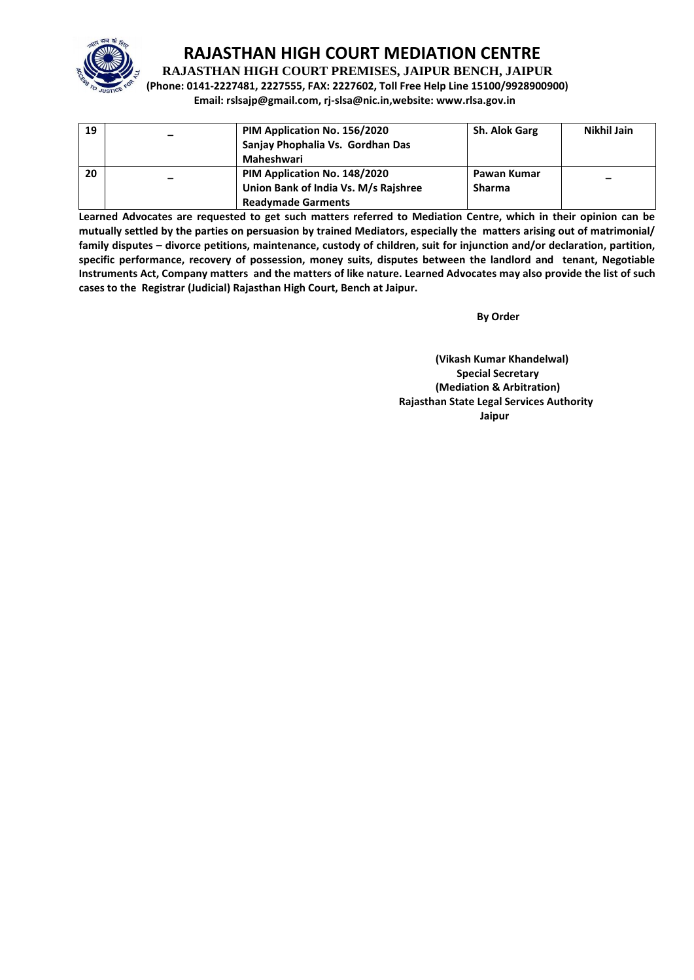

**RAJASTHAN HIGH COURT PREMISES, JAIPUR BENCH, JAIPUR**

**(Phone: 0141-2227481, 2227555, FAX: 2227602, Toll Free Help Line 15100/9928900900) Email: rslsajp@gmail.com, rj-slsa@nic.in,website: www.rlsa.gov.in**

| 19 | PIM Application No. 156/2020<br>Sanjay Phophalia Vs. Gordhan Das<br>Maheshwari                    | <b>Sh. Alok Garg</b>         | Nikhil Jain              |
|----|---------------------------------------------------------------------------------------------------|------------------------------|--------------------------|
| 20 | PIM Application No. 148/2020<br>Union Bank of India Vs. M/s Rajshree<br><b>Readymade Garments</b> | Pawan Kumar<br><b>Sharma</b> | $\overline{\phantom{m}}$ |

**Learned Advocates are requested to get such matters referred to Mediation Centre, which in their opinion can be mutually settled by the parties on persuasion by trained Mediators, especially the matters arising out of matrimonial/ family disputes – divorce petitions, maintenance, custody of children, suit for injunction and/or declaration, partition, specific performance, recovery of possession, money suits, disputes between the landlord and tenant, Negotiable Instruments Act, Company matters and the matters of like nature. Learned Advocates may also provide the list of such cases to the Registrar (Judicial) Rajasthan High Court, Bench at Jaipur.** 

 **By Order**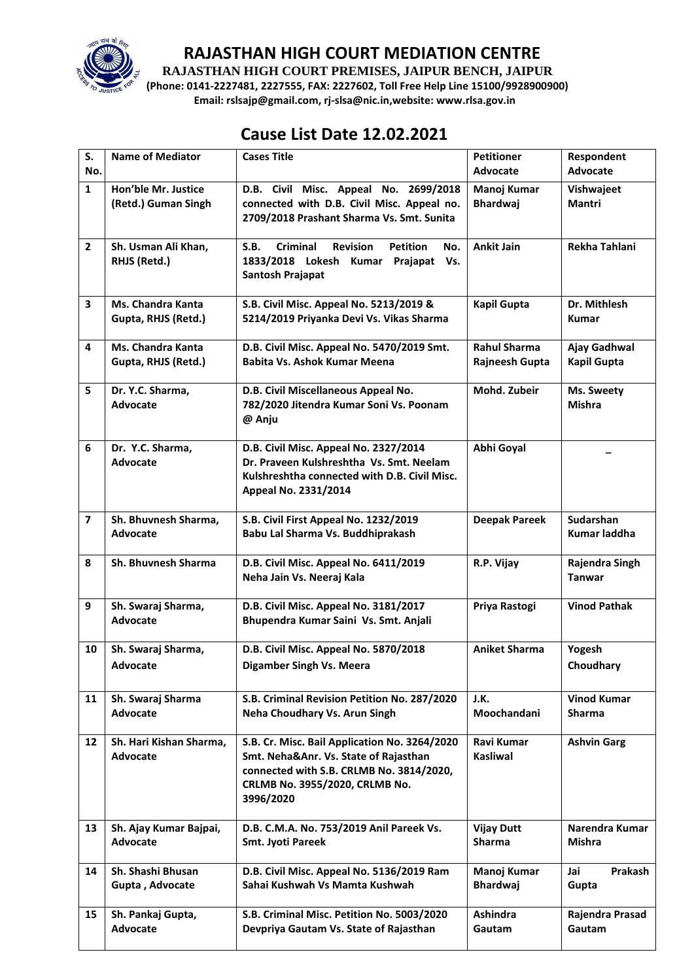

**RAJASTHAN HIGH COURT PREMISES, JAIPUR BENCH, JAIPUR**

**(Phone: 0141-2227481, 2227555, FAX: 2227602, Toll Free Help Line 15100/9928900900) Email: rslsajp@gmail.com, rj-slsa@nic.in,website: www.rlsa.gov.in**

## **Cause List Date 12.02.2021**

| S.                      | <b>Name of Mediator</b>                    | <b>Cases Title</b>                                                                                                                                                                | <b>Petitioner</b>                     | Respondent                          |
|-------------------------|--------------------------------------------|-----------------------------------------------------------------------------------------------------------------------------------------------------------------------------------|---------------------------------------|-------------------------------------|
| No.                     |                                            |                                                                                                                                                                                   | <b>Advocate</b>                       | Advocate                            |
| $\mathbf{1}$            | Hon'ble Mr. Justice<br>(Retd.) Guman Singh | D.B. Civil Misc. Appeal No. 2699/2018<br>connected with D.B. Civil Misc. Appeal no.<br>2709/2018 Prashant Sharma Vs. Smt. Sunita                                                  | Manoj Kumar<br><b>Bhardwaj</b>        | Vishwajeet<br>Mantri                |
| $\overline{2}$          | Sh. Usman Ali Khan,<br>RHJS (Retd.)        | <b>Criminal</b><br><b>Revision</b><br><b>Petition</b><br>S.B.<br>No.<br>1833/2018 Lokesh<br>Kumar<br>Prajapat<br>Vs.<br>Santosh Prajapat                                          | <b>Ankit Jain</b>                     | Rekha Tahlani                       |
| 3                       | Ms. Chandra Kanta<br>Gupta, RHJS (Retd.)   | S.B. Civil Misc. Appeal No. 5213/2019 &<br>5214/2019 Priyanka Devi Vs. Vikas Sharma                                                                                               | <b>Kapil Gupta</b>                    | Dr. Mithlesh<br><b>Kumar</b>        |
| $\overline{\mathbf{4}}$ | Ms. Chandra Kanta<br>Gupta, RHJS (Retd.)   | D.B. Civil Misc. Appeal No. 5470/2019 Smt.<br>Babita Vs. Ashok Kumar Meena                                                                                                        | <b>Rahul Sharma</b><br>Rajneesh Gupta | Ajay Gadhwal<br>Kapil Gupta         |
| 5                       | Dr. Y.C. Sharma,<br>Advocate               | D.B. Civil Miscellaneous Appeal No.<br>782/2020 Jitendra Kumar Soni Vs. Poonam<br>@ Anju                                                                                          | Mohd. Zubeir                          | Ms. Sweety<br>Mishra                |
| 6                       | Dr. Y.C. Sharma,<br><b>Advocate</b>        | D.B. Civil Misc. Appeal No. 2327/2014<br>Dr. Praveen Kulshreshtha Vs. Smt. Neelam<br>Kulshreshtha connected with D.B. Civil Misc.<br>Appeal No. 2331/2014                         | Abhi Goyal                            |                                     |
| $\overline{\mathbf{z}}$ | Sh. Bhuvnesh Sharma,<br><b>Advocate</b>    | S.B. Civil First Appeal No. 1232/2019<br>Babu Lal Sharma Vs. Buddhiprakash                                                                                                        | <b>Deepak Pareek</b>                  | Sudarshan<br>Kumar laddha           |
| 8                       | Sh. Bhuvnesh Sharma                        | D.B. Civil Misc. Appeal No. 6411/2019<br>Neha Jain Vs. Neeraj Kala                                                                                                                | R.P. Vijay                            | Rajendra Singh<br><b>Tanwar</b>     |
| 9                       | Sh. Swaraj Sharma,<br><b>Advocate</b>      | D.B. Civil Misc. Appeal No. 3181/2017<br>Bhupendra Kumar Saini Vs. Smt. Anjali                                                                                                    | Priya Rastogi                         | <b>Vinod Pathak</b>                 |
| 10                      | Sh. Swaraj Sharma,<br>Advocate             | D.B. Civil Misc. Appeal No. 5870/2018<br>Digamber Singh Vs. Meera                                                                                                                 | <b>Aniket Sharma</b>                  | Yogesh<br>Choudhary                 |
| 11                      | Sh. Swaraj Sharma<br><b>Advocate</b>       | S.B. Criminal Revision Petition No. 287/2020<br>Neha Choudhary Vs. Arun Singh                                                                                                     | J.K.<br>Moochandani                   | <b>Vinod Kumar</b><br><b>Sharma</b> |
| 12                      | Sh. Hari Kishan Sharma,<br><b>Advocate</b> | S.B. Cr. Misc. Bail Application No. 3264/2020<br>Smt. Neha&Anr. Vs. State of Rajasthan<br>connected with S.B. CRLMB No. 3814/2020,<br>CRLMB No. 3955/2020, CRLMB No.<br>3996/2020 | Ravi Kumar<br><b>Kasliwal</b>         | <b>Ashvin Garg</b>                  |
| 13                      | Sh. Ajay Kumar Bajpai,<br>Advocate         | D.B. C.M.A. No. 753/2019 Anil Pareek Vs.<br>Smt. Jyoti Pareek                                                                                                                     | <b>Vijay Dutt</b><br><b>Sharma</b>    | Narendra Kumar<br><b>Mishra</b>     |
| 14                      | Sh. Shashi Bhusan<br>Gupta, Advocate       | D.B. Civil Misc. Appeal No. 5136/2019 Ram<br>Sahai Kushwah Vs Mamta Kushwah                                                                                                       | Manoj Kumar<br><b>Bhardwaj</b>        | Jai<br>Prakash<br>Gupta             |
| 15                      | Sh. Pankaj Gupta,<br>Advocate              | S.B. Criminal Misc. Petition No. 5003/2020<br>Devpriya Gautam Vs. State of Rajasthan                                                                                              | <b>Ashindra</b><br>Gautam             | Rajendra Prasad<br>Gautam           |